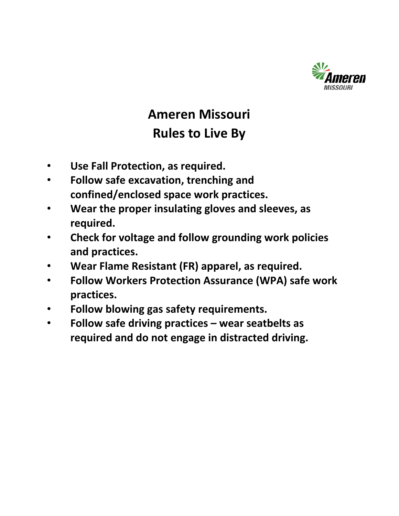

# **Ameren Missouri Rules to Live By**

- **Use Fall Protection, as required.**
- **Follow safe excavation, trenching and confined/enclosed space work practices.**
- **Wear the proper insulating gloves and sleeves, as required.**
- **Check for voltage and follow grounding work policies and practices.**
- **Wear Flame Resistant (FR) apparel, as required.**
- **Follow Workers Protection Assurance (WPA) safe work practices.**
- **Follow blowing gas safety requirements.**
- **Follow safe driving practices wear seatbelts as required and do not engage in distracted driving.**